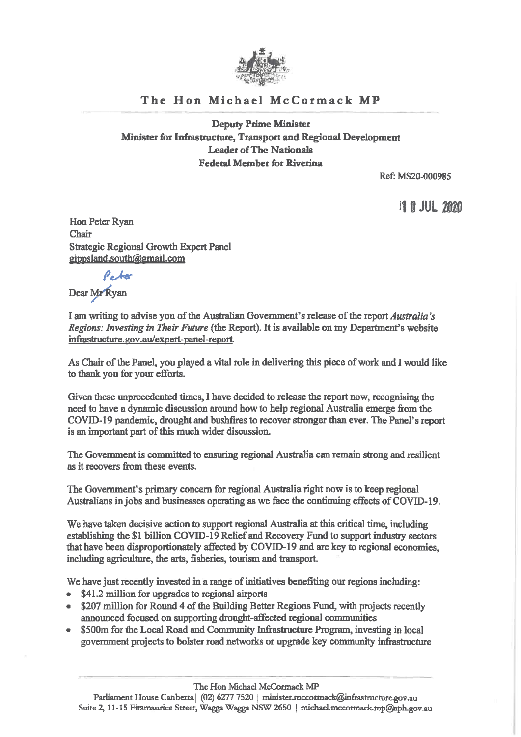

## The Hon Michael McCormack MP

Deputy Prime Minister Minister for Infrastructure, Transport and Regional Development Leader of The Nationals Federal Member for Riverina

Ref: MS20-000985

**11 N JUL 2020** 

Hon Peter Ryan Chair Strategic Regional Growth Expert Panel gippsland.south@gmail corn

Peter

Dear Mr Ryan

I am writing to advise you of the Australian Government's release of the report Australia's Regions: Investing in Their Future (the Report). It is available on my Department's website infrastructure. gov.au/expert-panel-report.

As Chair of the Panel, you played a vital role in delivering this piece of work and I would like to thank you for your efforts.

Given these unprecedented times, I have decided to release the report now, recognising the need to have a dynamic discussion around how to help regional Australia emerge from the COVID-19 pandemic, drought and bushfires to recover stronger than ever. The Panel's report is an important part of this much wider discussion.

The Government is committed to ensuring regional Australia can remain strong and resilient as it recovers from these events.

The Government's primary concern for regional Australia right now is to keep regional Australians in jobs and businesses operating as we face the continuing effects of COVID-19.

We have taken decisive action to support regional Australia at this critical time, including establishing the \$1 billion COVID-19 Relief and Recovery Fund to support industry sectors that have been disproportionately affected by COVID-19 and are key to regional economies, including agriculture, the arts, fisheries, tourism and transport.

We have just recently invested in a range of initiatives benefiting our regions including:

- \$41.2 million for upgrades to regional airports
- \$207 million for Round 4 of the Building Better Regions Fund, with projects recently announced focused on supporting drought-affected regional communities
- \$500m for the Local Road and Community Infrastructure Program, investing in local government projects to bolster road networks or upgrade key community infrastructure

The Hon Michael McCormack MP